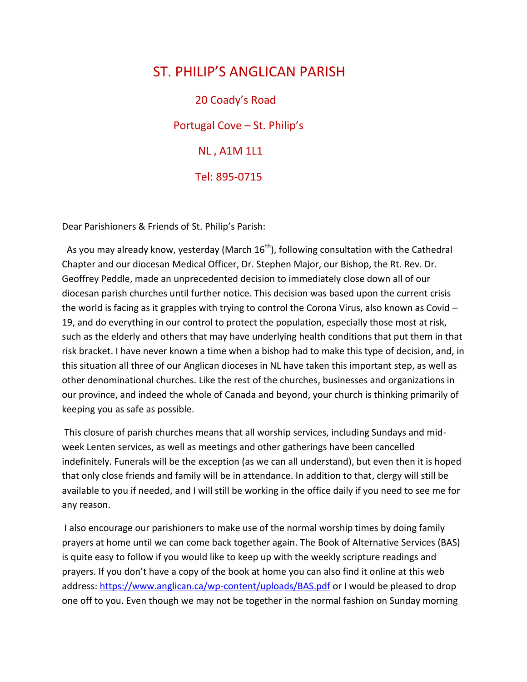## ST. PHILIP'S ANGLICAN PARISH

 20 Coady's Road Portugal Cove – St. Philip's NL , A1M 1L1 Tel: 895-0715

Dear Parishioners & Friends of St. Philip's Parish:

As you may already know, yesterday (March  $16<sup>th</sup>$ ), following consultation with the Cathedral Chapter and our diocesan Medical Officer, Dr. Stephen Major, our Bishop, the Rt. Rev. Dr. Geoffrey Peddle, made an unprecedented decision to immediately close down all of our diocesan parish churches until further notice. This decision was based upon the current crisis the world is facing as it grapples with trying to control the Corona Virus, also known as Covid – 19, and do everything in our control to protect the population, especially those most at risk, such as the elderly and others that may have underlying health conditions that put them in that risk bracket. I have never known a time when a bishop had to make this type of decision, and, in this situation all three of our Anglican dioceses in NL have taken this important step, as well as other denominational churches. Like the rest of the churches, businesses and organizations in our province, and indeed the whole of Canada and beyond, your church is thinking primarily of keeping you as safe as possible.

This closure of parish churches means that all worship services, including Sundays and midweek Lenten services, as well as meetings and other gatherings have been cancelled indefinitely. Funerals will be the exception (as we can all understand), but even then it is hoped that only close friends and family will be in attendance. In addition to that, clergy will still be available to you if needed, and I will still be working in the office daily if you need to see me for any reason.

I also encourage our parishioners to make use of the normal worship times by doing family prayers at home until we can come back together again. The Book of Alternative Services (BAS) is quite easy to follow if you would like to keep up with the weekly scripture readings and prayers. If you don't have a copy of the book at home you can also find it online at this web address:<https://www.anglican.ca/wp-content/uploads/BAS.pdf> or I would be pleased to drop one off to you. Even though we may not be together in the normal fashion on Sunday morning